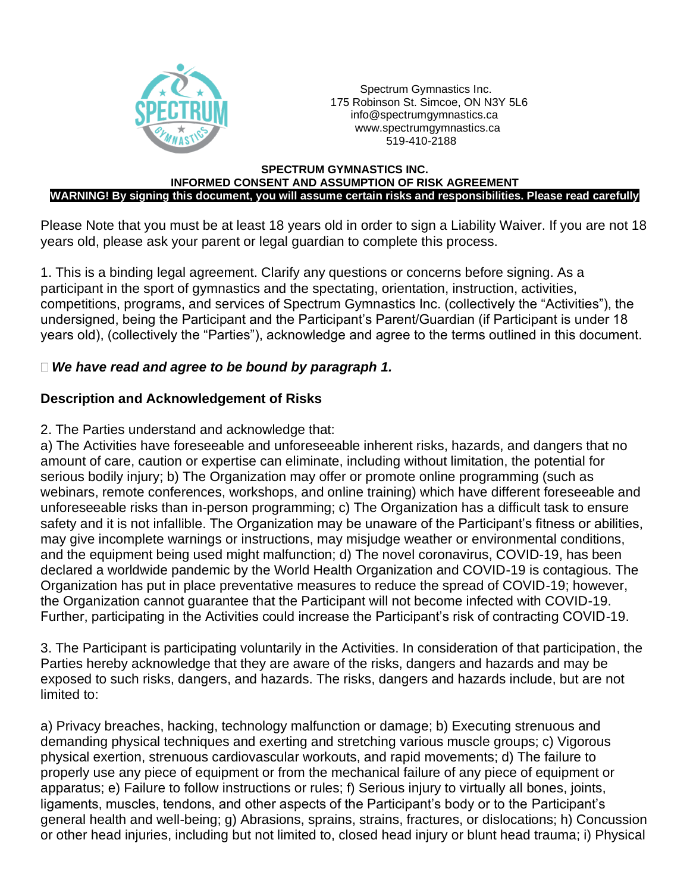

 Spectrum Gymnastics Inc. 175 Robinson St. Simcoe, ON N3Y 5L6 [info@spectrumgymnastics.ca](mailto:info@spectrumgymnastics.ca) [www.spectrumgymnastics.ca](http://www.spectrumgymnastics.ca/) 519-410-2188

#### **SPECTRUM GYMNASTICS INC. INFORMED CONSENT AND ASSUMPTION OF RISK AGREEMENT WARNING! By signing this document, you will assume certain risks and responsibilities. Please read carefully**

Please Note that you must be at least 18 years old in order to sign a Liability Waiver. If you are not 18 years old, please ask your parent or legal guardian to complete this process.

1. This is a binding legal agreement. Clarify any questions or concerns before signing. As a participant in the sport of gymnastics and the spectating, orientation, instruction, activities, competitions, programs, and services of Spectrum Gymnastics Inc. (collectively the "Activities"), the undersigned, being the Participant and the Participant's Parent/Guardian (if Participant is under 18 years old), (collectively the "Parties"), acknowledge and agree to the terms outlined in this document.

#### *We have read and agree to be bound by paragraph 1.*

#### **Description and Acknowledgement of Risks**

#### 2. The Parties understand and acknowledge that:

a) The Activities have foreseeable and unforeseeable inherent risks, hazards, and dangers that no amount of care, caution or expertise can eliminate, including without limitation, the potential for serious bodily injury; b) The Organization may offer or promote online programming (such as webinars, remote conferences, workshops, and online training) which have different foreseeable and unforeseeable risks than in-person programming; c) The Organization has a difficult task to ensure safety and it is not infallible. The Organization may be unaware of the Participant's fitness or abilities, may give incomplete warnings or instructions, may misjudge weather or environmental conditions, and the equipment being used might malfunction; d) The novel coronavirus, COVID-19, has been declared a worldwide pandemic by the World Health Organization and COVID-19 is contagious. The Organization has put in place preventative measures to reduce the spread of COVID-19; however, the Organization cannot guarantee that the Participant will not become infected with COVID-19. Further, participating in the Activities could increase the Participant's risk of contracting COVID-19.

3. The Participant is participating voluntarily in the Activities. In consideration of that participation, the Parties hereby acknowledge that they are aware of the risks, dangers and hazards and may be exposed to such risks, dangers, and hazards. The risks, dangers and hazards include, but are not limited to:

a) Privacy breaches, hacking, technology malfunction or damage; b) Executing strenuous and demanding physical techniques and exerting and stretching various muscle groups; c) Vigorous physical exertion, strenuous cardiovascular workouts, and rapid movements; d) The failure to properly use any piece of equipment or from the mechanical failure of any piece of equipment or apparatus; e) Failure to follow instructions or rules; f) Serious injury to virtually all bones, joints, ligaments, muscles, tendons, and other aspects of the Participant's body or to the Participant's general health and well-being; g) Abrasions, sprains, strains, fractures, or dislocations; h) Concussion or other head injuries, including but not limited to, closed head injury or blunt head trauma; i) Physical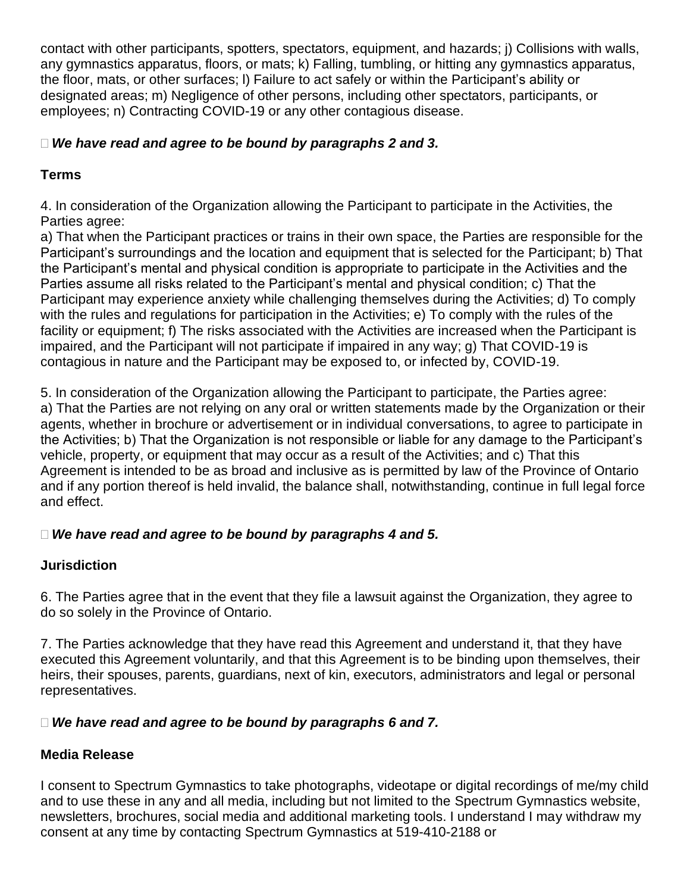contact with other participants, spotters, spectators, equipment, and hazards; j) Collisions with walls, any gymnastics apparatus, floors, or mats; k) Falling, tumbling, or hitting any gymnastics apparatus, the floor, mats, or other surfaces; l) Failure to act safely or within the Participant's ability or designated areas; m) Negligence of other persons, including other spectators, participants, or employees; n) Contracting COVID-19 or any other contagious disease.

## *We have read and agree to be bound by paragraphs 2 and 3.*

## **Terms**

4. In consideration of the Organization allowing the Participant to participate in the Activities, the Parties agree:

a) That when the Participant practices or trains in their own space, the Parties are responsible for the Participant's surroundings and the location and equipment that is selected for the Participant; b) That the Participant's mental and physical condition is appropriate to participate in the Activities and the Parties assume all risks related to the Participant's mental and physical condition; c) That the Participant may experience anxiety while challenging themselves during the Activities; d) To comply with the rules and regulations for participation in the Activities; e) To comply with the rules of the facility or equipment; f) The risks associated with the Activities are increased when the Participant is impaired, and the Participant will not participate if impaired in any way; g) That COVID-19 is contagious in nature and the Participant may be exposed to, or infected by, COVID-19.

5. In consideration of the Organization allowing the Participant to participate, the Parties agree: a) That the Parties are not relying on any oral or written statements made by the Organization or their agents, whether in brochure or advertisement or in individual conversations, to agree to participate in the Activities; b) That the Organization is not responsible or liable for any damage to the Participant's vehicle, property, or equipment that may occur as a result of the Activities; and c) That this Agreement is intended to be as broad and inclusive as is permitted by law of the Province of Ontario and if any portion thereof is held invalid, the balance shall, notwithstanding, continue in full legal force and effect.

## *We have read and agree to be bound by paragraphs 4 and 5.*

# **Jurisdiction**

6. The Parties agree that in the event that they file a lawsuit against the Organization, they agree to do so solely in the Province of Ontario.

7. The Parties acknowledge that they have read this Agreement and understand it, that they have executed this Agreement voluntarily, and that this Agreement is to be binding upon themselves, their heirs, their spouses, parents, guardians, next of kin, executors, administrators and legal or personal representatives.

# *We have read and agree to be bound by paragraphs 6 and 7.*

# **Media Release**

I consent to Spectrum Gymnastics to take photographs, videotape or digital recordings of me/my child and to use these in any and all media, including but not limited to the Spectrum Gymnastics website, newsletters, brochures, social media and additional marketing tools. I understand I may withdraw my consent at any time by contacting Spectrum Gymnastics at 519-410-2188 or